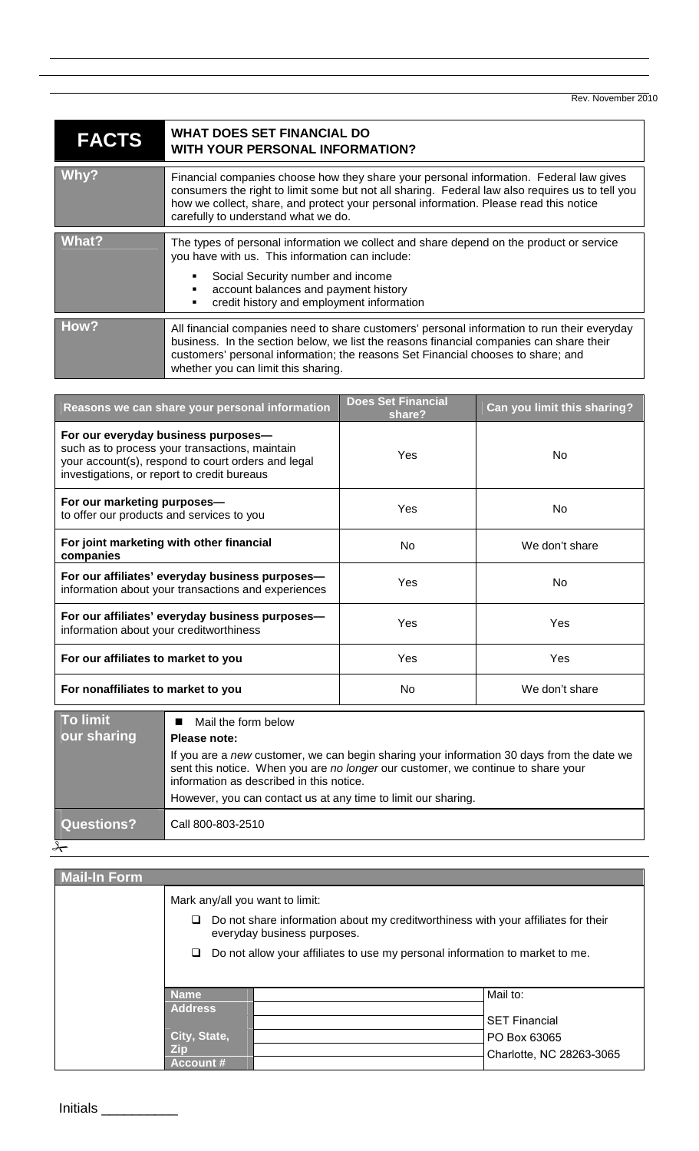Rev. November 2010

| <b>FACTS</b> | <b>WHAT DOES SET FINANCIAL DO</b><br><b>WITH YOUR PERSONAL INFORMATION?</b>                                                                                                                                                                                                                                               |  |
|--------------|---------------------------------------------------------------------------------------------------------------------------------------------------------------------------------------------------------------------------------------------------------------------------------------------------------------------------|--|
| Whv?         | Financial companies choose how they share your personal information. Federal law gives<br>consumers the right to limit some but not all sharing. Federal law also requires us to tell you<br>how we collect, share, and protect your personal information. Please read this notice<br>carefully to understand what we do. |  |
| What?        | The types of personal information we collect and share depend on the product or service<br>you have with us. This information can include:<br>Social Security number and income<br>account balances and payment history<br>credit history and employment information<br>٠                                                 |  |
| How?         | All financial companies need to share customers' personal information to run their everyday<br>business. In the section below, we list the reasons financial companies can share their<br>customers' personal information; the reasons Set Financial chooses to share; and<br>whether you can limit this sharing.         |  |

<u> 1989 - Johann Stoff, amerikansk politiker (d. 1989)</u>

| For our everyday business purposes-                                                                                  | Reasons we can share your personal information | <b>Does Set Financial</b><br>share? | Can you limit this sharing? |
|----------------------------------------------------------------------------------------------------------------------|------------------------------------------------|-------------------------------------|-----------------------------|
| your account(s), respond to court orders and legal<br>investigations, or report to credit bureaus                    | such as to process your transactions, maintain | Yes                                 | No.                         |
| For our marketing purposes-<br>Yes<br>No.<br>to offer our products and services to you                               |                                                |                                     |                             |
| For joint marketing with other financial<br><b>No</b><br>We don't share<br>companies                                 |                                                |                                     |                             |
| For our affiliates' everyday business purposes-<br>Yes<br>No.<br>information about your transactions and experiences |                                                |                                     |                             |
| For our affiliates' everyday business purposes-<br>Yes<br>Yes<br>information about your creditworthiness             |                                                |                                     |                             |
| Yes<br>For our affiliates to market to you<br><b>Yes</b>                                                             |                                                |                                     |                             |
| <b>No</b><br>We don't share<br>For nonaffiliates to market to you                                                    |                                                |                                     |                             |

| To limit<br>our sharing | Mail the form below<br>Please note:                                                                                                                                                                                                                                                        |
|-------------------------|--------------------------------------------------------------------------------------------------------------------------------------------------------------------------------------------------------------------------------------------------------------------------------------------|
|                         | If you are a new customer, we can begin sharing your information 30 days from the date we<br>sent this notice. When you are no longer our customer, we continue to share your<br>information as described in this notice.<br>However, you can contact us at any time to limit our sharing. |
|                         |                                                                                                                                                                                                                                                                                            |
| Questions?              | Call 800-803-2510                                                                                                                                                                                                                                                                          |
|                         |                                                                                                                                                                                                                                                                                            |

| <b>Mail-In Form</b> |                                                                                                                                                                                                       |  |                          |
|---------------------|-------------------------------------------------------------------------------------------------------------------------------------------------------------------------------------------------------|--|--------------------------|
|                     | Mark any/all you want to limit:                                                                                                                                                                       |  |                          |
|                     | Do not share information about my creditworthiness with your affiliates for their<br>everyday business purposes.<br>Do not allow your affiliates to use my personal information to market to me.<br>⊔ |  |                          |
|                     |                                                                                                                                                                                                       |  |                          |
|                     | <b>Name</b>                                                                                                                                                                                           |  | Mail to:                 |
|                     | <b>Address</b>                                                                                                                                                                                        |  |                          |
|                     |                                                                                                                                                                                                       |  | <b>SET Financial</b>     |
|                     | City, State,                                                                                                                                                                                          |  | PO Box 63065             |
|                     | Zin<br><b>Account #</b>                                                                                                                                                                               |  | Charlotte, NC 28263-3065 |